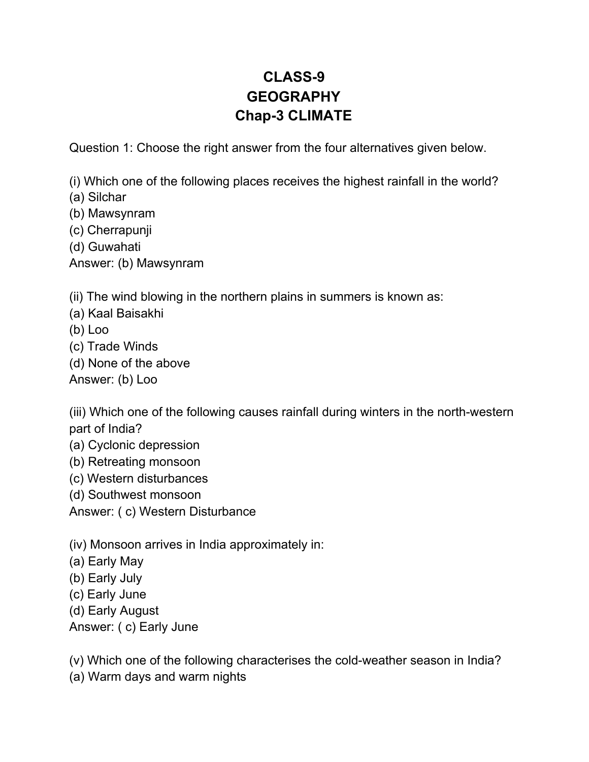## **CLASS-9 GEOGRAPHY Chap-3 CLIMATE**

Question 1: Choose the right answer from the four alternatives given below.

(i) Which one of the following places receives the highest rainfall in the world?

(a) Silchar

- (b) Mawsynram
- (c) Cherrapunji
- (d) Guwahati

Answer: (b) Mawsynram

(ii) The wind blowing in the northern plains in summers is known as:

- (a) Kaal Baisakhi
- (b) Loo
- (c) Trade Winds
- (d) None of the above

Answer: (b) Loo

(iii) Which one of the following causes rainfall during winters in the north-western part of India?

- (a) Cyclonic depression
- (b) Retreating monsoon
- (c) Western disturbances
- (d) Southwest monsoon

Answer: ( c) Western Disturbance

(iv) Monsoon arrives in India approximately in:

- (a) Early May
- (b) Early July
- (c) Early June
- (d) Early August
- Answer: ( c) Early June

(v) Which one of the following characterises the cold-weather season in India?

(a) Warm days and warm nights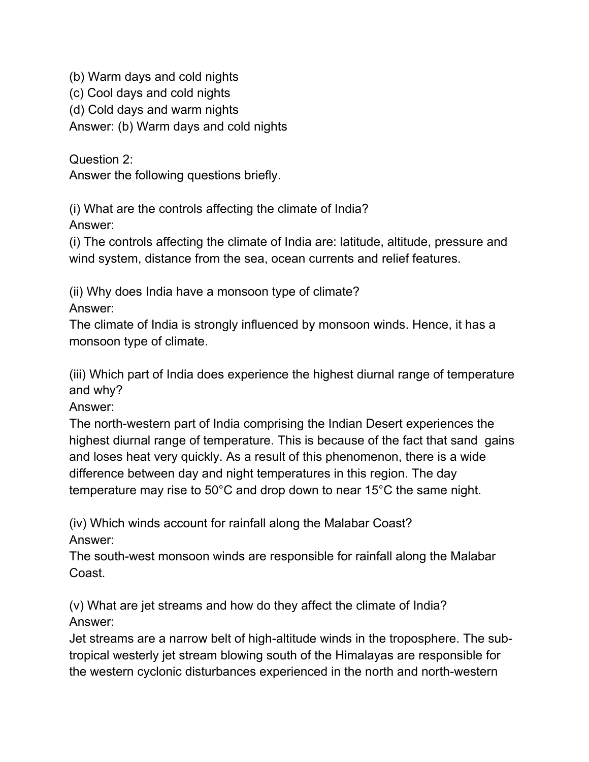(b) Warm days and cold nights

(c) Cool days and cold nights

(d) Cold days and warm nights

Answer: (b) Warm days and cold nights

Question 2:

Answer the following questions briefly.

(i) What are the controls affecting the climate of India? Answer:

(i) The controls affecting the climate of India are: latitude, altitude, pressure and wind system, distance from the sea, ocean currents and relief features.

(ii) Why does India have a monsoon type of climate?

Answer:

The climate of India is strongly influenced by monsoon winds. Hence, it has a monsoon type of climate.

(iii) Which part of India does experience the highest diurnal range of temperature and why?

Answer:

The north-western part of India comprising the Indian Desert experiences the highest diurnal range of temperature. This is because of the fact that sand gains and loses heat very quickly. As a result of this phenomenon, there is a wide difference between day and night temperatures in this region. The day temperature may rise to 50°C and drop down to near 15°C the same night.

(iv) Which winds account for rainfall along the Malabar Coast? Answer:

The south-west monsoon winds are responsible for rainfall along the Malabar Coast.

(v) What are jet streams and how do they affect the climate of India? Answer:

Jet streams are a narrow belt of high-altitude winds in the troposphere. The subtropical westerly jet stream blowing south of the Himalayas are responsible for the western cyclonic disturbances experienced in the north and north-western